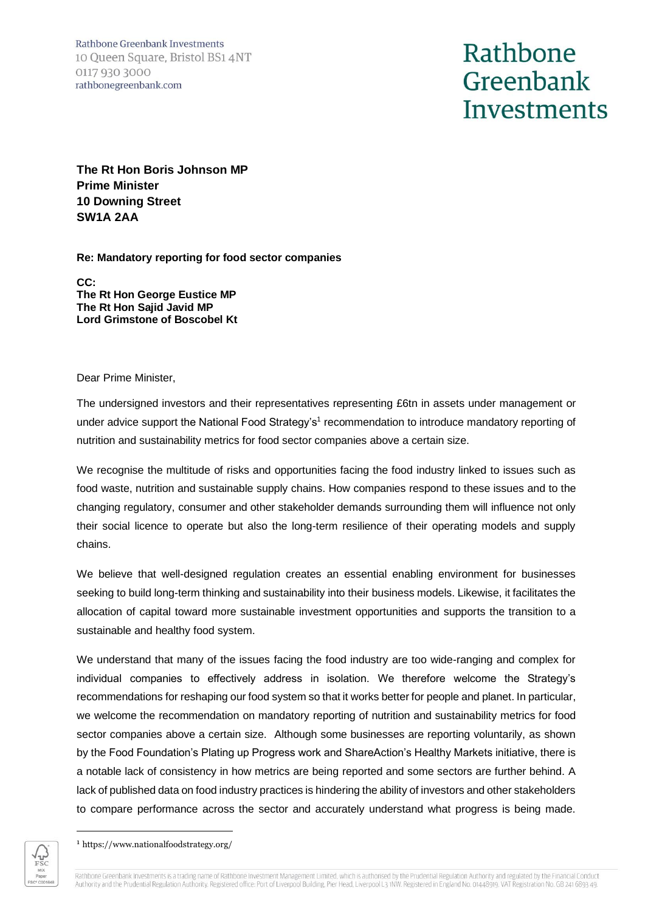Rathbone Greenbank Investments 10 Queen Square, Bristol BS1 4NT 0117 930 3000 rathbonegreenbank.com

## Rathbone Greenbank Investments

**The Rt Hon Boris Johnson MP Prime Minister 10 Downing Street SW1A 2AA**

**Re: Mandatory reporting for food sector companies**

**CC: The Rt Hon George Eustice MP The Rt Hon Sajid Javid MP Lord Grimstone of Boscobel Kt**

Dear Prime Minister,

The undersigned investors and their representatives representing £6tn in assets under management or under advice support the National Food Strategy's<sup>1</sup> recommendation to introduce mandatory reporting of nutrition and sustainability metrics for food sector companies above a certain size.

We recognise the multitude of risks and opportunities facing the food industry linked to issues such as food waste, nutrition and sustainable supply chains. How companies respond to these issues and to the changing regulatory, consumer and other stakeholder demands surrounding them will influence not only their social licence to operate but also the long-term resilience of their operating models and supply chains.

We believe that well-designed regulation creates an essential enabling environment for businesses seeking to build long-term thinking and sustainability into their business models. Likewise, it facilitates the allocation of capital toward more sustainable investment opportunities and supports the transition to a sustainable and healthy food system.

We understand that many of the issues facing the food industry are too wide-ranging and complex for individual companies to effectively address in isolation. We therefore welcome the Strategy's recommendations for reshaping our food system so that it works better for people and planet. In particular, we welcome the recommendation on mandatory reporting of nutrition and sustainability metrics for food sector companies above a certain size. Although some businesses are reporting voluntarily, as shown by the Food Foundation's Plating up Progress work and ShareAction's Healthy Markets initiative, there is a notable lack of consistency in how metrics are being reported and some sectors are further behind. A lack of published data on food industry practices is hindering the ability of investors and other stakeholders to compare performance across the sector and accurately understand what progress is being made.

<sup>1</sup> https://www.nationalfoodstrategy.org/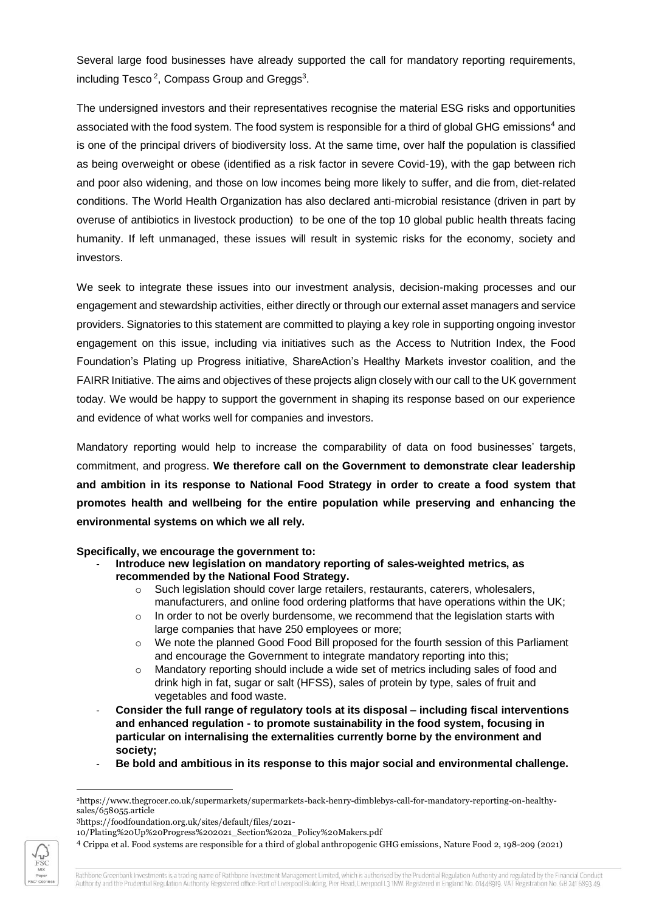Several large food businesses have already supported the call for mandatory reporting requirements, including Tesco<sup>2</sup>, Compass Group and Greggs<sup>3</sup>.

The undersigned investors and their representatives recognise the material ESG risks and opportunities associated with the food system. The food system is responsible for a third of global GHG emissions<sup>4</sup> and is one of the principal drivers of biodiversity loss. At the same time, over half the population is classified as being overweight or obese (identified as a risk factor in severe Covid-19), with the gap between rich and poor also widening, and those on low incomes being more likely to suffer, and die from, diet-related conditions. The World Health Organization has also declared anti-microbial resistance (driven in part by overuse of antibiotics in livestock production) to be one of the top 10 global public health threats facing humanity. If left unmanaged, these issues will result in systemic risks for the economy, society and investors.

We seek to integrate these issues into our investment analysis, decision-making processes and our engagement and stewardship activities, either directly or through our external asset managers and service providers. Signatories to this statement are committed to playing a key role in supporting ongoing investor engagement on this issue, including via initiatives such as the Access to Nutrition Index, the Food Foundation's Plating up Progress initiative, ShareAction's Healthy Markets investor coalition, and the FAIRR Initiative. The aims and objectives of these projects align closely with our call to the UK government today. We would be happy to support the government in shaping its response based on our experience and evidence of what works well for companies and investors.

Mandatory reporting would help to increase the comparability of data on food businesses' targets, commitment, and progress. **We therefore call on the Government to demonstrate clear leadership and ambition in its response to National Food Strategy in order to create a food system that promotes health and wellbeing for the entire population while preserving and enhancing the environmental systems on which we all rely.** 

## **Specifically, we encourage the government to:**

- **Introduce new legislation on mandatory reporting of sales-weighted metrics, as recommended by the National Food Strategy.** 
	- $\circ$  Such legislation should cover large retailers, restaurants, caterers, wholesalers, manufacturers, and online food ordering platforms that have operations within the UK;
	- $\circ$  In order to not be overly burdensome, we recommend that the legislation starts with large companies that have 250 employees or more;
	- o We note the planned Good Food Bill proposed for the fourth session of this Parliament and encourage the Government to integrate mandatory reporting into this;
	- $\circ$  Mandatory reporting should include a wide set of metrics including sales of food and drink high in fat, sugar or salt (HFSS), sales of protein by type, sales of fruit and vegetables and food waste.
- **Consider the full range of regulatory tools at its disposal – including fiscal interventions and enhanced regulation - to promote sustainability in the food system, focusing in particular on internalising the externalities currently borne by the environment and society;**
- **Be bold and ambitious in its response to this major social and environmental challenge.**



<sup>2</sup>https://www.thegrocer.co.uk/supermarkets/supermarkets-back-henry-dimblebys-call-for-mandatory-reporting-on-healthysales/658055.article

<sup>3</sup>https://foodfoundation.org.uk/sites/default/files/2021-

<sup>10/</sup>Plating%20Up%20Progress%202021\_Section%202a\_Policy%20Makers.pdf

<sup>4</sup> Crippa et al. Food systems are responsible for a third of global anthropogenic GHG emissions, Nature Food 2, 198-209 (2021)